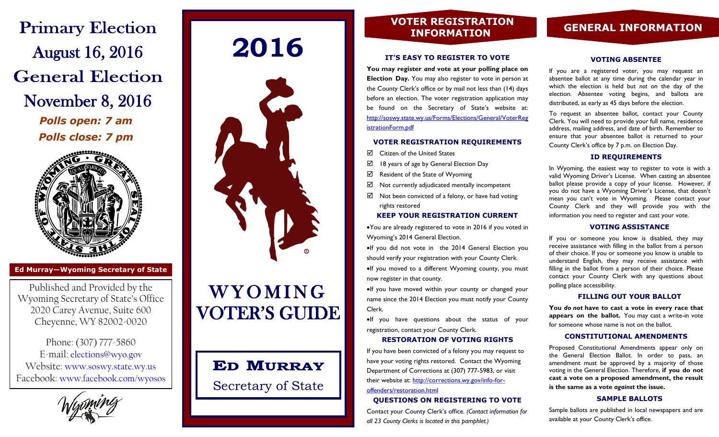**Primary Election** August 16, 2016 **General Election** November 8, 2016 *Polls open: 7 am Polls close: 7 pm*



**Ed Murray—Wyoming Secretary of State**

Published and Provided by the Wyoming Secretary of State's Office 2020 Carey Avenue, Suite 600 Cheyenne, WY 82002-0020

Phone: (307) 777-5860 E-mail: elections@wyo.gov Website: www.soswy.state.wy.us Facebook: www.facebook.com/wyosos

# **2016**



# **WYOMING** VOTER'S GUIDE

# **ED MURRAY**

Secretary of State

# **VOTER REGISTRATION**

#### **IT'S EASY TO REGISTER TO VOTE**

**You may register** *and* **vote at your polling place on Election Day.** You may also register to vote in person at the County Clerk's office or by mail not less than (14) days before an election. The voter registration application may be found on the Secretary of State's website at: http://soswy.state.wy.us/Forms/Elections/General/VoterReg istrationForm.pdf

#### **VOTER REGISTRATION REQUIREMENTS**

- $\boxtimes$  Citizen of the United States
- $\boxtimes$  18 years of age by General Election Day
- $\boxtimes$  Resident of the State of Wyoming
- $\boxtimes$  Not currently adjudicated mentally incompetent
- $\boxtimes$  Not been convicted of a felony, or have had voting rights restored

#### **KEEP YOUR REGISTRATION CURRENT**

You are already registered to vote in 2016 if you voted in Wyoming's 2014 General Election.

If you did not vote in the 2014 General Election you should verify your registration with your County Clerk.  $\bullet$ If you moved to a different Wyoming county, you must now register in that county.

If you have moved within your county or changed your name since the 2014 Election you must notify your County Clerk.

If you have questions about the status of your registration, contact your County Clerk.

#### **RESTORATION OF VOTING RIGHTS**

If you have been convicted of a felony you may request to have your voting rights restored. Contact the Wyoming Department of Corrections at (307) 777-5983, or visit their website at: http://[corrections.wy.gov/info-for](http://corrections.wy.gov/info-for-offenders/restoration.html)[offenders/restoration.html](http://corrections.wy.gov/info-for-offenders/restoration.html)

### **QUESTIONS ON REGISTERING TO VOTE**

Contact your County Clerk's office. *(Contact information for all 23 County Clerks is located in this pamphlet.)*

# **INFORMATION GENERAL INFORMATION**

#### **VOTING ABSENTEE**

If you are a registered voter, you may request an absentee ballot at any time during the calendar year in which the election is held but *not* on the day of the election. Absentee voting begins, and ballots are distributed, as early as 45 days before the election.

To request an absentee ballot, contact your County Clerk. You will need to provide your full name, residence address, mailing address, and date of birth. Remember to ensure that your absentee ballot is returned to your County Clerk's office by 7 p.m. on Election Day.

#### **ID REQUIREMENTS**

In Wyoming, the easiest way to register to vote is with a valid Wyoming Driver's License. When casting an absentee ballot please provide a copy of your license. However, if you do not have a Wyoming Driver's License, that doesn't mean you can't vote in Wyoming. Please contact your County Clerk and they will provide you with the information you need to register and cast your vote.

#### **VOTING ASSISTANCE**

If you or someone you know is disabled, they may receive assistance with filling in the ballot from a person of their choice. If you or someone you know is unable to understand English, they may receive assistance with filling in the ballot from a person of their choice. Please contact your County Clerk with any questions about polling place accessibility.

#### **FILLING OUT YOUR BALLOT**

**You** *do not* **have to cast a vote in every race that appears on the ballot.** You may cast a write-in vote for someone whose name is not on the ballot.

#### **CONSTITUTIONAL AMENDMENTS**

Proposed Constitutional Amendments appear only on the General Election Ballot. In order to pass, an amendment must be approved by a majority of those voting in the General Election. Therefore, **if you do not cast a vote on a proposed amendment, the result is the same as a vote** *against* **the issue.**

#### **SAMPLE BALLOTS**

Sample ballots are published in local newspapers and are available at your County Clerk's office.